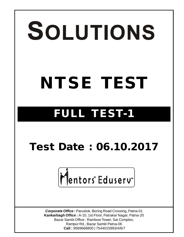# SOLUTIONS **NTSE TEST**

## **FULL TEST-1**

### **Test Date : 06.10.2017**

# Mentors® Eduserv<sup>™</sup>

*Corporate Office :* Paruslok, Boring Road Crossing, Patna-01 **Kankarbagh Office :** A-10, 1st Floor, Patrakar Nagar, Patna-20 Bazar Samiti Office : Rainbow Tower, Sai Complex, Rampur Rd., Bazar Samiti Patna-06  **Call :** 9569668800 | 7544015993/4/6/7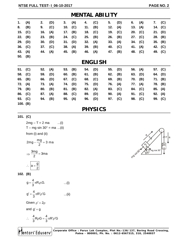| <b>MENTAL ABILITY</b> |     |     |     |     |     |     |     |     |     |     |     |     |     |
|-----------------------|-----|-----|-----|-----|-----|-----|-----|-----|-----|-----|-----|-----|-----|
| 1.                    | (A) | 2.  | (D) | 3.  | (A) | 4.  | (C) | 5.  | (D) | 6.  | (A) | 7.  | (C) |
| 8.                    | (B) | 9.  | (C) | 10. | (C) | 11. | (B) | 12. | (A) | 13. | (A) | 14. | (C) |
| 15.                   | (C) | 16. | (A) | 17. | (B) | 18. | (C) | 19. | (C) | 20. | (C) | 21. | (D) |
| 22.                   | (B) | 23. | (B) | 24. | (C) | 25. | (B) | 26. | (B) | 27. | (C) | 28. | (B) |
| 29.                   | (D) | 30. | (D) | 31. | (D) | 32. | (A) | 33. | (A) | 34. | (C) | 35. | (B) |
| 36.                   | (C) | 37. | (C) | 38. | (A) | 39. | (B) | 40. | (C) | 41. | (A) | 42. | (C) |
| 43.                   | (A) | 44. | (A) | 45. | (B) | 46. | (A) | 47. | (B) | 48. | (C) | 49. | (C) |
| 50.                   | (B) |     |     |     |     |     |     |     |     |     |     |     |     |
| <b>ENGLISH</b>        |     |     |     |     |     |     |     |     |     |     |     |     |     |
| 51.                   | (C) | 52. | (A) | 53. | (B) | 54. | (D) | 55. | (D) | 56. | (A) | 57. | (C) |
| 58.                   | (C) | 59. | (D) | 60. | (B) | 61. | (B) | 62. | (B) | 63. | (D) | 64. | (D) |
| 65.                   | (B) | 66. | (D) | 67. | (C) | 68. | (C) | 69. | (B) | 70. | (B) | 71. | (B) |
| 72.                   | (A) | 73. | (A) | 74. | (D) | 75. | (D) | 76. | (A) | 77. | (A) | 78. | (B) |
| 79.                   | (B) | 80. | (B) | 81. | (B) | 82. | (A) | 83. | (C) | 84. | (C) | 85. | (A) |
| 86.                   | (C) | 87. | (A) | 88. | (C) | 89. | (D) | 90. | (A) | 91. | (C) | 92. | (A) |
| 93.                   | (C) | 94. | (B) | 95. | (A) | 96. | (D) | 97. | (C) | 98. | (C) | 99. | (C) |
| 100. $(B)$            |     |     |     |     |     |     |     |     |     |     |     |     |     |

#### **PHYSICS**

**101. (C)**

 $2mg - T = 2 ma$  ...(i)  $T - mg \sin 30^\circ = ma \dots (ii)$ from (i) and (ii) 2mg –  $\frac{mg}{2}$  = 3 ma 2  $-\frac{119}{2}$  = 3  $\Rightarrow \frac{3mg}{2} = 3ma$ 2  $=$  $a = \frac{g}{2}$ 2  $\therefore$   $|a=\frac{3}{2}$ 

**102. (B)**

 $g = \frac{4}{3} \pi R \cdot \rho \cdot G$ .  $=\frac{1}{3}\pi R.p.G.$  ...(i)  $g' = \frac{4}{3} \pi R' \rho' G$  $V = \frac{1}{3} \pi R' \rho' G$  ...(ii) Given  $\rho' = 2\rho$ and  $g' = g$  $\frac{4}{6}$ R<sub>P</sub>G =  $\frac{4}{6}$ πR'<sub>P</sub>'G 3 3 ∴  $\frac{1}{6}R\rho G = \frac{1}{6}\pi R'\rho'G$ 

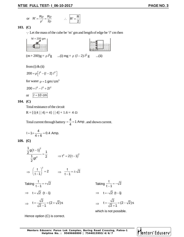or 
$$
R' = \frac{R\rho}{\rho'} = \frac{R\rho}{2\rho}
$$
  $\therefore$   $R' = \frac{R}{2}$ 

**103. (C)**

Let the mass of the cube be 'm' gm and length of edge be '*l*' cm then



from (i)  $&$  (ii)

$$
200 = \rho \left[ l^3 - (l - 2) l^2 \right]
$$

for water  $\rho = 1$  gm/cm<sup>3</sup>

$$
200 = l^3 - l^3 + 2l^2
$$

or 
$$
l = 10
$$
 cm

**104. (C)**

Total resistance of the circuit

$$
R = [\{(4 | | 4) + 4\} | | 4] + 1.6 = 4 \Omega
$$

Total current through battery =  $\frac{4}{4}$  = 1 Amp  $=\frac{1}{4}$  = 1 Amp. and shown current.

$$
I = 1 \times \frac{4}{4+6} = 0.4 \text{ Amp.}
$$

**105. (C)**

$$
\frac{\frac{1}{2}g(t-1)^2}{\frac{1}{2}gt^2} = \frac{1}{2} \qquad \Rightarrow t^2 = 2(t-1)^2
$$

$$
\Rightarrow \left(\frac{t}{t-1}\right)^2 = 2 \qquad \Rightarrow \frac{t}{t-1} = \pm \sqrt{2}
$$

Taking 
$$
\frac{t}{t-1} = +\sqrt{2}
$$
  
\n $\Rightarrow t = \sqrt{2} (t-1)$   
\n $\Rightarrow t = \frac{\sqrt{2}}{\sqrt{2}-1} = (2+\sqrt{2})s$   
\n $\Rightarrow t = \frac{\sqrt{2}}{\sqrt{2}+1} = (2+\sqrt{2})s$   
\n $\Rightarrow t = \frac{\sqrt{2}}{\sqrt{2}+1} = (2+\sqrt{2})s$ 

Taking 
$$
\frac{t}{t-1} = -\sqrt{2}
$$
  
\n $\Rightarrow t = -\sqrt{2} (t-1)$   
\n $\Rightarrow t = \frac{\sqrt{2}}{\sqrt{2} + 1} = (2 - \sqrt{2}) s$ 

which is not possible.

Hence option (C) is correct.

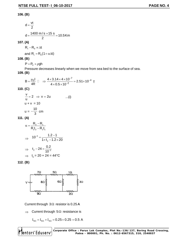#### **106. (B)**

$$
d = \frac{vt}{2}
$$
  

$$
d = \frac{1400 \text{ m/s} \times 15 \text{ s}}{2} = 10.5 \text{ km}
$$

#### **107. (A)**

$$
R_t - R_0 \propto \Delta t
$$

and  $R_t = R_0 (1 + \alpha \Delta t)$ 

#### **108. (B)**

 $P = P_0 + \rho gh$ 

Pressure decreases linearly when we move from sea bed to the surface of sea.

#### **109. (B)**

$$
B = \frac{\mu_0 I}{4R} \quad \Box \quad \Rightarrow \frac{4 \times 3.14 \times 4 \times 10^{-7}}{4 \times 0.5 \times 10^{-2}} = 2.51 \times 10^{-4} \text{ T}
$$

**110. (C)**

$$
\frac{v}{u} = 2 \implies v = 2u \qquad ...(i)
$$
  
u + v = 10  

$$
u = -\frac{10}{3} \text{ cm}
$$

**111. (A)**

$$
\alpha = \frac{R_2 - R_1}{R_1 t_2 - R_2 t_1}
$$
\n
$$
\Rightarrow 10^{-2} = \frac{1.2 - 1}{1 \times t_2 - 1.2 \times 20}
$$
\n
$$
\Rightarrow t_2 - 24 = \frac{0.2}{10^{-2}}
$$
\n
$$
\Rightarrow t_2 = 20 + 24 = 44^{\circ}C
$$

**112. (B)**



Current through  $3\Omega$  resistor is 0.25 A

 $\Rightarrow$  Current through 5 $\Omega$  resistance is

$$
I_{5\Omega}=I_{6\Omega}+I_{3\Omega}=0.25+0.25=0.5~A
$$

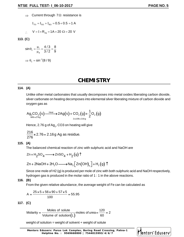$\Rightarrow$  Current through 7 $\Omega$  resistance is

$$
I_{7\Omega} = I_{5\Omega} + I_{8\Omega} = 0.5 + 0.5 = 1 \text{ A}
$$

$$
\therefore V = I \times R_{eq} = 1A \times 20 \Omega = 20 V
$$

**113. (C)**

$$
\sin \theta_{\rm c} = \frac{\mu_{\rm r}}{\mu_{\rm d}} = \frac{4/3}{3/2} = \frac{8}{9}
$$

$$
\Rightarrow \theta_{\rm c} = \sin^{-1}(8/9)
$$

#### **CHEMISTRY**

#### **114. (A)**

Unlike other metal carbonates that usually decomposes into metal oxides liberating carbon dioxide, silver carbonate on heating decomposes into elemental silver liberating mixture of carbon dioxide and oxygen gas as

$$
\mathrm{Ag}_{2}\mathrm{CO}_{3}(s) \xrightarrow{\text{Heat}} 2\mathrm{Ag}(s) + \mathrm{CO}_{2}(g) + \frac{1}{2}\mathrm{O}_{2}(g)
$$
\n
$$
\xrightarrow[2 \times 108 = 216g]{}
$$

Hence, 2.76 g of Ag $_{\rm 2}$ , CO3 on heating will give

$$
\frac{216}{276} \times 2.76 = 2.16 \text{ g Ag as residue.}
$$

#### **115. (A)**

The balanced chemical reaction of zinc with sulphuric acid and NaOH are

$$
Zn + H_2SO_4 \longrightarrow ZnSO_4 + H_2(g) \uparrow
$$

$$
Zn + 2NaOH + 2H_2O \longrightarrow Na_2\Big[Zn(OH)_4\Big] + H_2(g)\uparrow
$$

Since one mole of H2 (g) is produced per mole of zinc with both sulphuric acid and NaOH respectively, hydrogen gas is produced in the molar ratio of 1 : 1 in the above reactions.

#### **116. (B)**

From the given relative abundance, the average weight of Fe can be calculated as

$$
A = \frac{25 \times 5 + 56 \times 90 + 57 \times 5}{100} = 55.95
$$

#### **117. (C)**

Molarity = 
$$
\frac{\text{Moles of solute}}{\text{Volume of solution(L)}}
$$
 moles of 120 moles of 120 m.

weight of solution = weight of solvent  $+$  weight of solute

**Mentors Eduserv: Parus Lok Complex, Boring Road Crossing, Patna-1 Helpline No. : 9569668800 | 7544015993/4/6/7**

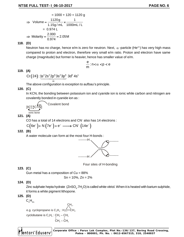#### **118. (D)**

Neutron has no charge, hence e/m is zero for neutron. Next,  $\alpha$ -particle (He<sup>2+</sup>) has very high mass compared to proton and electron, therefore very small e/m ratio. Proton and electron have same charge (magnitude) but former is heavier, hence has smaller value of e/m.

$$
\frac{e}{m}\!:\!n\!<\!\alpha<\!p< e
$$

#### **119. (A)**

 $\left(24\right)$ : 1s $^{2}$ 2s $^{2}$ 2p $^{6}$ 3s $^{2}$ 3p $^{6}$  3d $^{5}$  4s $^{1}$ Ar  $Cr(24)$ : <u>1s $^{2}2s^{2}2p^{6}3s^{2}3p^{6}$ </u> 3d<sup>5</sup> 4s

The above configuration is exception to aufbau's principle.

**120. (C)**

In KCN, the bonding between potassium ion and cyanide ion is ionic while carbon and nitrogen are covalently bonded in cyanide ion as :



$$
[K]^{\dagger}[\mathbf{C}^{\mathbf{L}}_{\mathbf{N}}]
$$
 **Covalent bond**

**121. (A)**

CO has a total of 14 electrons and CN<sup>-</sup> also has 14 electrons :

$$
C(6e^-) + N(7e^-) + e^- \longrightarrow CN^-(14e^-)
$$

**122. (B)**

A water molecule can form at the most four H-bonds :



Four sites of H-bonding

#### **123. (C)**

Gun metal has a composition of  $Cu = 88%$ 

$$
Sn = 10\%, Zn = 2\%
$$

#### **124. (D)**

Zinc sulphate hepta hydrate  $({\sf ZnSO}_4.7{\sf H}_2{\sf O})$  is called white vitriol. When it is heated with barium sulphide, it forms a white pigment lithopone.

**125. (D)**

$$
\mathsf{C}_{\mathsf{n}}\mathsf{H}_{\mathsf{2n}}
$$

$$
CH2.
$$
\ne.g. cyclopropane is C<sub>3</sub>H<sub>6</sub>: H<sub>2</sub>C—CH<sub>2</sub>.

\ncyclobutane is C<sub>4</sub>H<sub>8</sub>: CH<sub>2</sub>—CH<sub>2</sub>

\n
$$
CH2—CH2
$$
\n
$$
CH2-CH2
$$

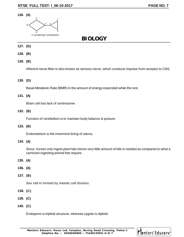#### **126. (A)**



#### **BIOLOGY**

#### **127. (D)**

- **128. (B)**
- **129. (B)**

Afferent nerve fiber in also known as sensory nerve, which conducts impulse from receptor to CNS.

#### **130. (D)**

Basal Metabolic Rate (BMR) in the amount of energy expended while the rest.

#### **131. (A)**

Brain cell has lack of centrosome.

#### **132. (B)**

Function of cerebellum is to maintain body balance & posture.

#### **133. (B)**

Endometrium is the innermost lining of uterus.

#### **134. (A)**

Since, horses only ingest plant fats hence very little amount of bile is needed as compared to what a carnivore ingesting animal fats require.

#### **135. (A)**

- **136. (A)**
- **137. (B)**

Sex cell in formed by meiotic cell division.

- **138. (C)**
- **139. (C)**
- **140. (C)**

Endoperm is triploid structure, whereas zygote is diploid.

**Mentors Eduserv: Parus Lok Complex, Boring Road Crossing, Patna-1 Helpline No. : 9569668800 | 7544015993/4/6/7**

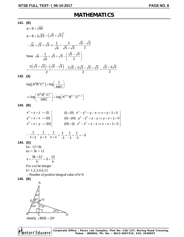#### **MATHEMATICS**

**141. (B)**

a = 8 + 
$$
\sqrt{60}
$$
  
\na = 8 +  $2\sqrt{15} = (\sqrt{5} + \sqrt{3})^2$   
\n $\therefore \sqrt{a} = \sqrt{5} + \sqrt{3} \Rightarrow \frac{1}{\sqrt{a}} = \frac{1}{\sqrt{5} + \sqrt{3}} = \frac{\sqrt{5} - \sqrt{3}}{2}$   
\nNow  $\sqrt{a} - \frac{1}{\sqrt{a}} = \sqrt{5} + \sqrt{3} - (\frac{\sqrt{5} - \sqrt{3}}{2})$   
\n $= \frac{2(\sqrt{5} + \sqrt{3}) - (\sqrt{5} - \sqrt{3})}{2} = \frac{2\sqrt{5} + 2\sqrt{3} - \sqrt{5} + \sqrt{3}}{2} = \frac{\sqrt{5} + 3\sqrt{3}}{2}$ 

**142. (A)**

$$
log(A^{B}B^{C}C^{A}) + log(\frac{1}{ABC})
$$
  
\n
$$
\Rightarrow log(\frac{A^{B}.B^{C}.C^{A}}{ABC}) = log[A^{B-1}.B^{C-1}.C^{A-1}]
$$

**143. (B)**

$$
\begin{aligned}\nx^2 &= y + z \quad -(I) \\
y^2 &= z + x \quad -(II) \\
z^2 &= x + y \quad -(III)\n\end{aligned}\n\qquad\n\begin{aligned}\n(I) - (II) \quad x^2 - y^2 &= y - x \Rightarrow x + y + 1 = 0 \\
(II) - (III) \quad y^2 - z^2 &= z - y \Rightarrow y + z + 1 = 0 \\
(III) - (I) \quad z^2 - x^2 &= x - z \Rightarrow z + x + 1 = 0\n\end{aligned}
$$

$$
\therefore \frac{1}{x+y} + \frac{1}{y+z} + \frac{1}{z+x} = \frac{1}{-1} + \frac{1}{-1} + \frac{1}{-1} = -3
$$

**144. (D)**

kx– 12=3k  $kx = 3k + 12$ 

$$
x = \frac{3k + 12}{k} = 3 + \frac{12}{k}
$$

For x to be integer k= 1,2,3,4,6,12  $\therefore$  Number of positive integral value of k=6

**145. (B)**

A  
\n
$$
50^{\circ}
$$
\nE\n
$$
80^{\circ}
$$
\nB\nC\nClearly  $\angle$ BDE = 20^{\circ}

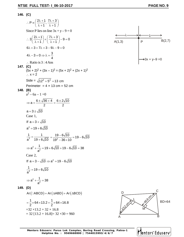#### **146. (C)**

$$
P = \begin{pmatrix} 2\lambda + 1 & 7\lambda + 3 \\ \lambda + 1 & \lambda + 1 \end{pmatrix}
$$
  
\nSince P lies on line 3x + y - 9 = 0  
\n
$$
\therefore 3\begin{pmatrix} 2\lambda + 1 \\ \lambda + 1 \end{pmatrix} + \begin{pmatrix} 7\lambda + 3 \\ \lambda + 1 \end{pmatrix} - 9 = 0
$$
  
\n
$$
6\lambda + 3 + 7\lambda + 3 - 9\lambda - 9 = 0
$$
  
\n
$$
6\lambda + 3 + 7\lambda + 3 - 9\lambda - 9 = 0
$$
  
\n
$$
4\lambda - 3 = 0 \Rightarrow \lambda = \frac{3}{4}
$$
  
\n
$$
\therefore \text{ Ratio is 3 : } 4 \text{ Ans}
$$
  
\n147. (C)  
\n
$$
(5x + 2)^2 + (3x - 1)^2 = (5x + 2)^2 + (2x + 1)^2
$$
  
\n
$$
\therefore x = 2
$$
  
\n
$$
Side = \sqrt{12^2 + 5^2} = 13 \text{ cm}
$$
  
\nPerimeter = 4 x 13 cm = 52 cm  
\n
$$
a^2 - 6a - 1 = 0
$$
  
\n
$$
\Rightarrow a = \frac{6 \pm \sqrt{36 + 4}}{2} = \frac{6 \pm 2\sqrt{10}}{2}
$$
  
\n
$$
a = 3 + \sqrt{10}
$$
  
\n
$$
a^2 = 19 + 6\sqrt{10}
$$
  
\n
$$
\frac{1}{a^2} = \frac{1}{19 + 6\sqrt{10}} = \frac{19 - 6\sqrt{10}}{19^2 - 36 \times 10} = 19 - 6\sqrt{10}
$$
  
\n
$$
\Rightarrow a^2 + \frac{1}{a^2} = 19 + 6\sqrt{10} + 19 - 6\sqrt{10} = 38
$$
  
\nCase 2,  
\nIf  $a = 3 - \sqrt{10} \Rightarrow a^2 = 19 - 6\sqrt{10}$   
\n
$$
\frac{1}{a^2} = 19 + 6\sqrt{10}
$$
  
\n
$$
\Rightarrow a^2 + \frac{1}{a^2} =
$$





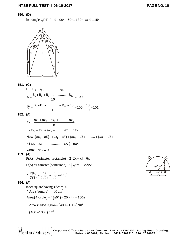#### **150. (D)**

In triangle QRT,  $\theta + \theta + 90^\circ + 60^\circ = 180^\circ \Rightarrow \theta = 15^\circ$ 



#### **151. (C)**

B1 , B<sup>2</sup> , B<sup>3</sup> ,............... B<sup>10</sup>  $\overline{X} = \frac{B_1 + B_2 + B_3 + \dots + B_{10}}{10} = 100$ 10  $=\frac{B_1 + B_2 + B_3 + \dots + B_{10}}{10} = 1$  $\overline{X} = \frac{B_1 + B_2 + \dots + B_{10} + 10}{6} = 100 + \frac{10}{10} = 101$ 10 10  $=\frac{B_1 + B_2 + \dots + B_{10} + 10}{10} = 100 + \frac{10}{10} = 1$ **152. (A)**  $ax = \frac{ax_1 + ax_2 + ax_3 + \dots + ax_n}{ax}$ n  $\Rightarrow$   $ax_1 + ax_2 + ax_3 + \dots + ax_n =$  nax Now  $(ax_1 - a\overline{x}) + (ax_2 - a\overline{x}) + (ax_3 - a\overline{x}) + \dots + (ax_n - a\overline{x})$  $a = (ax_1 + ax_2 + \dots + ax_n) - na\overline{x}$  $n = na\overline{x} - na\overline{x} = 0$ **153. (A)**  $P(R) = Perimeter (rectangle) = 2 [2x + x] = 6x$  $D(S) = Diameter (Semicircle) = 2\sqrt{2}x$  =  $2\sqrt{2}x$  $\frac{P(R)}{P(R)} = \frac{6x}{2\sqrt{2}} = \frac{3}{\sqrt{2}} = 3 : \sqrt{2}$ D(S)  $2\sqrt{2}x \sqrt{2}$  $\therefore \frac{1}{R} \frac{1}{R} = \frac{R}{R} = \frac{R}{R} = \frac{R}{R} = \frac{R}{R}$ **154. (A)** inner square having sides = 20  $\therefore$  Area (square) = 400 cm<sup>2</sup> Area $\left( 4\,\, \text{circle} \, \right)$  =  $4 \left( \pi 5^2 \right)$  = 25  $\times$  4 $\pi$  = 100 $\pi$ : Area shaded region =  $(400 - 100\pi)$  cm<sup>2</sup>  $=$   $($  400  $-$  100 $\pi )\;$ cm $^2$ 

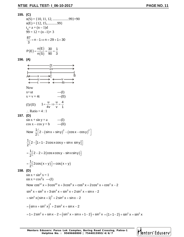#### **155. (C)**

n(S) = {10, 11, 12, .........99}=90  
\nn(E) = {12, 15, .........99}  
\nt<sub>n</sub> = a + (n - 1)d  
\n99 = 12 + (n - 1)×3  
\n
$$
\frac{87}{3} = n - 1 \Rightarrow n = 29 + 1 = 30
$$
\n
$$
P(E) = \frac{n(E)}{n(S)} = \frac{30}{90} = \frac{1}{3}
$$

**156. (A)**

$$
\begin{array}{ccc}\n & -2t & \longrightarrow & -2t & \longrightarrow & -2t & \longrightarrow & -2t & \longrightarrow & -2t & \longrightarrow & -2t & \longrightarrow & -2t & \longrightarrow & -2t & \longrightarrow & -2t & \longrightarrow & -2t & \longrightarrow & -2t & \longrightarrow & -2t & \longrightarrow & -2t & \longrightarrow & -2t & \longrightarrow & -2t & \longrightarrow & -2t & \longrightarrow & -2t & \longrightarrow & -2t & \longrightarrow & -2t & \longrightarrow & -2t & \longrightarrow & -2t & \longrightarrow & -2t & \longrightarrow & -2t & \longrightarrow & -2t & \longrightarrow & -2t & \longrightarrow & -2t & \longrightarrow & -2t & \longrightarrow & -2t & \longrightarrow & -2t & \longrightarrow & -2t & \longrightarrow & -2t & \longrightarrow & -2t & \longrightarrow & -2t & \longrightarrow & -2t & \longrightarrow & -2t & \longrightarrow & -2t & \longrightarrow & -2t & \longrightarrow & -2t & \longrightarrow & -2t & \longrightarrow & -2t & \longrightarrow & -2t & \longrightarrow & -2t & \longrightarrow & -2t & \longrightarrow & -2t & \longrightarrow & -2t & \longrightarrow & -2t & \longrightarrow & -2t & \longrightarrow & -2t & \longrightarrow & -2t & \longrightarrow & -2t & \longrightarrow & -2t & \longrightarrow & -2t & \longrightarrow & -2t & \longrightarrow & -2t & \longrightarrow & -2t & \longrightarrow & -2t & \longrightarrow & -2t & \longrightarrow & -2t & \longrightarrow & -2t & \longrightarrow & -2t & \longrightarrow & -2t & \longrightarrow & -2t & \longrightarrow & -2t & \longrightarrow & -2t & \longrightarrow & -2t & \longrightarrow & -2t & \longrightarrow & -2t & \longrightarrow & -2t & \longrightarrow & -2t & \longrightarrow & -2t & \longrightarrow & -2t & \longrightarrow & -2t & \longrightarrow & -2t & \longrightarrow & -2t & \longrightarrow & -2t & \longrightarrow & -2t & \longrightarrow & -2t & \longrightarrow & -2t & \longrightarrow & -2t & \longrightarrow & -2t & \longrightarrow & -2t & \longrightarrow & -2t & \longrightarrow & -2t & \longrightarrow & -2t & \longrightarrow & -2t & \longrightarrow & -2t & \longrightarrow & -2t & \longrightarrow & -2t & \longrightarrow & -2t & \longrightarrow & -2t & \longrightarrow & -2t & \longrightarrow & -2t & \longrightarrow & -2t & \longrightarrow & -2t & \longrightarrow & -2t & \longrightarrow & -2t & \longrightarrow & -2t & \longrightarrow & -2t & \longrightarrow & -2t & \longrightarrow & -2t & \longrightarrow & -2t & \longrightarrow & -2t & \longrightarrow & -2t & \longrightarrow & -2t & \longrightarrow & -2t & \longrightarrow & -2t & \longrightarrow & -2t & \longrightarrow & -2
$$

$$
158. (D)
$$

**157. (D)**

$$
\sin x + \sin^2 x = 1
$$
\n
$$
\sin x = \cos^2 x \quad -(1)
$$
\nNow  $\cos^{12} x + 3\cos^{10} x + 3\cos^8 x + \cos^6 x + 2\cos^4 x + \cos^2 x - 2$ 

\n
$$
\sin^6 x + \sin^5 x + 3\sin^4 x + \sin^3 x + 2\sin^2 x + \sin x - 2
$$
\n
$$
= \sin^3 x (\sin x + 1)^3 + 2\sin^2 x + \sin x - 2
$$
\n
$$
= (\sin x + \sin^2 x)^3 + 2\sin^2 x + \sin x - 2
$$
\n
$$
= 1 + 2\sin^2 x + \sin x - 2 = (\sin^2 x + \sin x + 1 - 2) + \sin^2 x = (1 + 1 - 2) + \sin^2 x = \sin^2 x
$$